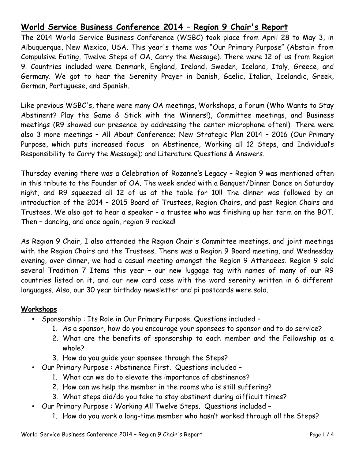# **World Service Business Conference 2014 – Region 9 Chair's Report**

The 2014 World Service Business Conference (WSBC) took place from April 28 to May 3, in Albuquerque, New Mexico, USA. This year's theme was "Our Primary Purpose" (Abstain from Compulsive Eating, Twelve Steps of OA, Carry the Message). There were 12 of us from Region 9. Countries included were Denmark, England, Ireland, Sweden, Iceland, Italy, Greece, and Germany. We got to hear the Serenity Prayer in Danish, Gaelic, Italian, Icelandic, Greek, German, Portuguese, and Spanish.

Like previous WSBC's, there were many OA meetings, Workshops, a Forum (Who Wants to Stay Abstinent? Play the Game & Stick with the Winners!), Committee meetings, and Business meetings (R9 showed our presence by addressing the center microphone often!). There were also 3 more meetings – All About Conference; New Strategic Plan 2014 – 2016 (Our Primary Purpose, which puts increased focus on Abstinence, Working all 12 Steps, and Individual's Responsibility to Carry the Message); and Literature Questions & Answers.

Thursday evening there was a Celebration of Rozanne's Legacy – Region 9 was mentioned often in this tribute to the Founder of OA. The week ended with a Banquet/Dinner Dance on Saturday night, and R9 squeezed all 12 of us at the table for 10!! The dinner was followed by an introduction of the 2014 – 2015 Board of Trustees, Region Chairs, and past Region Chairs and Trustees. We also got to hear a speaker – a trustee who was finishing up her term on the BOT. Then – dancing, and once again, region 9 rocked!

As Region 9 Chair, I also attended the Region Chair's Committee meetings, and joint meetings with the Region Chairs and the Trustees. There was a Region 9 Board meeting, and Wednesday evening, over dinner, we had a casual meeting amongst the Region 9 Attendees. Region 9 sold several Tradition 7 Items this year – our new luggage tag with names of many of our R9 countries listed on it, and our new card case with the word serenity written in 6 different languages. Also, our 30 year birthday newsletter and pi postcards were sold.

### **Workshops**

- Sponsorship : Its Role in Our Primary Purpose. Questions included
	- 1. As a sponsor, how do you encourage your sponsees to sponsor and to do service?
	- 2. What are the benefits of sponsorship to each member and the Fellowship as a whole?
	- 3. How do you guide your sponsee through the Steps?
- Our Primary Purpose : Abstinence First. Questions included
	- 1. What can we do to elevate the importance of abstinence?
	- 2. How can we help the member in the rooms who is still suffering?
	- 3. What steps did/do you take to stay abstinent during difficult times?
- Our Primary Purpose : Working All Twelve Steps. Questions included
	- 1. How do you work a long-time member who hasn't worked through all the Steps?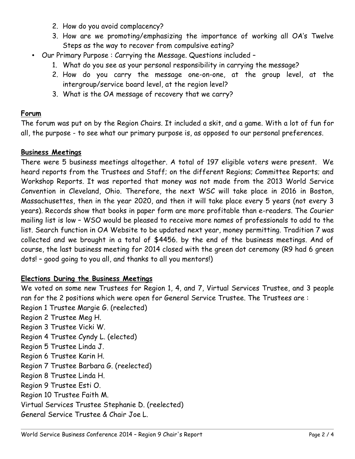- 2. How do you avoid complacency?
- 3. How are we promoting/emphasizing the importance of working all OA's Twelve Steps as the way to recover from compulsive eating?
- Our Primary Purpose : Carrying the Message. Questions included
	- 1. What do you see as your personal responsibility in carrying the message?
	- 2. How do you carry the message one-on-one, at the group level, at the intergroup/service board level, at the region level?
	- 3. What is the OA message of recovery that we carry?

### **Forum**

The forum was put on by the Region Chairs. It included a skit, and a game. With a lot of fun for all, the purpose - to see what our primary purpose is, as opposed to our personal preferences.

### **Business Meetings**

There were 5 business meetings altogether. A total of 197 eligible voters were present. We heard reports from the Trustees and Staff; on the different Regions; Committee Reports; and Workshop Reports. It was reported that money was not made from the 2013 World Service Convention in Cleveland, Ohio. Therefore, the next WSC will take place in 2016 in Boston, Massachusettes, then in the year 2020, and then it will take place every 5 years (not every 3 years). Records show that books in paper form are more profitable than e-readers. The Courier mailing list is low – WSO would be pleased to receive more names of professionals to add to the list. Search function in OA Website to be updated next year, money permitting. Tradition 7 was collected and we brought in a total of \$4456. by the end of the business meetings. And of course, the last business meeting for 2014 closed with the green dot ceremony (R9 had 6 green dots! – good going to you all, and thanks to all you mentors!)

#### **Elections During the Business Meetings**

We voted on some new Trustees for Region 1, 4, and 7, Virtual Services Trustee, and 3 people ran for the 2 positions which were open for General Service Trustee. The Trustees are : Region 1 Trustee Margie G. (reelected) Region 2 Trustee Meg H. Region 3 Trustee Vicki W. Region 4 Trustee Cyndy L. (elected) Region 5 Trustee Linda J. Region 6 Trustee Karin H. Region 7 Trustee Barbara G. (reelected) Region 8 Trustee Linda H. Region 9 Trustee Esti O. Region 10 Trustee Faith M. Virtual Services Trustee Stephanie D. (reelected) General Service Trustee & Chair Joe L.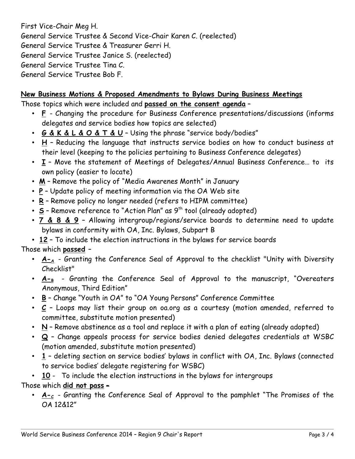First Vice-Chair Meg H. General Service Trustee & Second Vice-Chair Karen C. (reelected) General Service Trustee & Treasurer Gerri H. General Service Trustee Janice S. (reelected) General Service Trustee Tina C. General Service Trustee Bob F.

### **New Business Motions & Proposed Amendments to Bylaws During Business Meetings**

Those topics which were included and **passed on the consent agenda** –

- **F**  Changing the procedure for Business Conference presentations/discussions (informs delegates and service bodies how topics are selected)
- **G & K & L & O & T & U**  Using the phrase "service body/bodies"
- **H**  Reducing the language that instructs service bodies on how to conduct business at their level (keeping to the policies pertaining to Business Conference delegates)
- **I**  Move the statement of Meetings of Delegates/Annual Business Conference… to its own policy (easier to locate)
- **M**  Remove the policy of "Media Awarenes Month" in January
- **P**  Update policy of meeting information via the OA Web site
- **R**  Remove policy no longer needed (refers to HIPM committee)
- **S** Remove reference to "Action Plan" as 9<sup>th</sup> tool (already adopted)
- **7 & 8 & 9**  Allowing intergroup/regions/service boards to determine need to update bylaws in conformity with OA, Inc. Bylaws, Subpart B
- **12**  To include the election instructions in the bylaws for service boards

Those which **passed** –

- A-A Granting the Conference Seal of Approval to the checklist "Unity with Diversity Checklist"
- $A_{-B}$  Granting the Conference Seal of Approval to the manuscript, "Overeaters Anonymous, Third Edition"
- **B**  Change "Youth in OA" to "OA Young Persons" Conference Committee
- **C**  Loops may list their group on oa.org as a courtesy (motion amended, referred to committee, substitute motion presented)
- **N**  Remove abstinence as a tool and replace it with a plan of eating (already adopted)
- **Q**  Change appeals process for service bodies denied delegates credentials at WSBC (motion amended, substitute motion presented)
- **1**  deleting section on service bodies' bylaws in conflict with OA, Inc. Bylaws (connected to service bodies' delegate registering for WSBC)

• **10** - To include the election instructions in the bylaws for intergroups

Those which **did not pass** –

• **A-**<sub>c</sub> - Granting the Conference Seal of Approval to the pamphlet "The Promises of the OA 12&12"